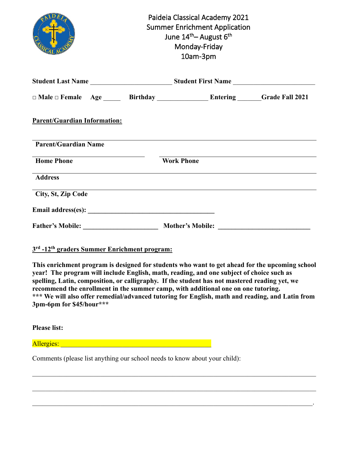|                                                                                                                                                                                                                                                                                                                                                                                                                                                                                     | Paideia Classical Academy 2021<br><b>Summer Enrichment Application</b><br>June 14 <sup>th</sup> – August 6 <sup>th</sup><br>Monday-Friday<br>10am-3pm |  |
|-------------------------------------------------------------------------------------------------------------------------------------------------------------------------------------------------------------------------------------------------------------------------------------------------------------------------------------------------------------------------------------------------------------------------------------------------------------------------------------|-------------------------------------------------------------------------------------------------------------------------------------------------------|--|
|                                                                                                                                                                                                                                                                                                                                                                                                                                                                                     |                                                                                                                                                       |  |
|                                                                                                                                                                                                                                                                                                                                                                                                                                                                                     |                                                                                                                                                       |  |
| <b>Parent/Guardian Information:</b>                                                                                                                                                                                                                                                                                                                                                                                                                                                 |                                                                                                                                                       |  |
| <b>Parent/Guardian Name</b>                                                                                                                                                                                                                                                                                                                                                                                                                                                         |                                                                                                                                                       |  |
| <b>Home Phone</b>                                                                                                                                                                                                                                                                                                                                                                                                                                                                   | <b>Work Phone</b>                                                                                                                                     |  |
| <b>Address</b>                                                                                                                                                                                                                                                                                                                                                                                                                                                                      |                                                                                                                                                       |  |
| City, St, Zip Code                                                                                                                                                                                                                                                                                                                                                                                                                                                                  |                                                                                                                                                       |  |
|                                                                                                                                                                                                                                                                                                                                                                                                                                                                                     |                                                                                                                                                       |  |
|                                                                                                                                                                                                                                                                                                                                                                                                                                                                                     |                                                                                                                                                       |  |
| 3rd -12 <sup>th</sup> graders Summer Enrichment program:                                                                                                                                                                                                                                                                                                                                                                                                                            |                                                                                                                                                       |  |
| This enrichment program is designed for students who want to get ahead for the upcoming school<br>year! The program will include English, math, reading, and one subject of choice such as<br>spelling, Latin, composition, or calligraphy. If the student has not mastered reading yet, we<br>recommend the enrollment in the summer camp, with additional one on one tutoring.<br>*** We will also offer remedial/advanced tutoring for English, math and reading, and Latin from |                                                                                                                                                       |  |

**3pm-6pm for \$45/hour\*\*\***

**Please list:**

Allergies: \_\_\_\_\_\_\_\_\_\_\_\_\_\_\_\_\_\_\_\_\_\_\_\_\_\_\_\_\_\_\_\_\_\_\_\_\_\_\_\_\_\_\_\_

Comments (please list anything our school needs to know about your child):

 $\mathcal{L}_\mathcal{L} = \mathcal{L}_\mathcal{L} = \mathcal{L}_\mathcal{L} = \mathcal{L}_\mathcal{L} = \mathcal{L}_\mathcal{L} = \mathcal{L}_\mathcal{L} = \mathcal{L}_\mathcal{L} = \mathcal{L}_\mathcal{L} = \mathcal{L}_\mathcal{L} = \mathcal{L}_\mathcal{L} = \mathcal{L}_\mathcal{L} = \mathcal{L}_\mathcal{L} = \mathcal{L}_\mathcal{L} = \mathcal{L}_\mathcal{L} = \mathcal{L}_\mathcal{L} = \mathcal{L}_\mathcal{L} = \mathcal{L}_\mathcal{L}$